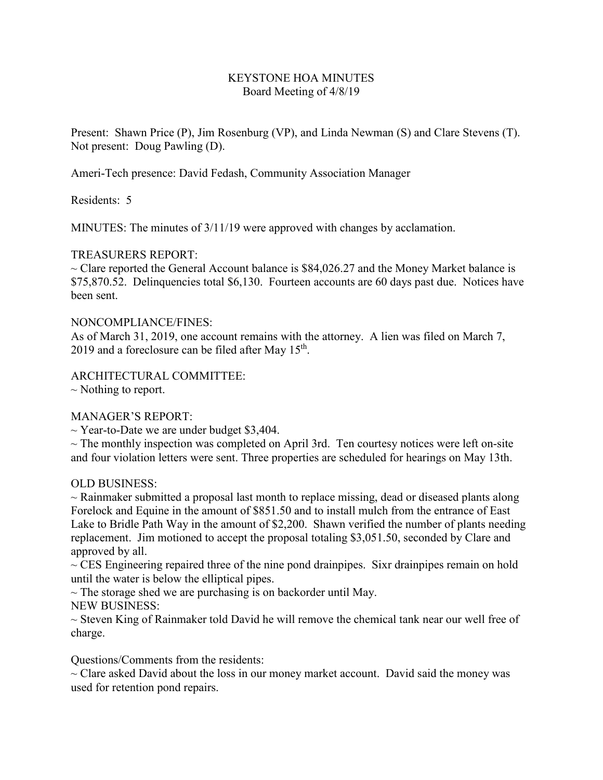## KEYSTONE HOA MINUTES Board Meeting of 4/8/19

Present: Shawn Price (P), Jim Rosenburg (VP), and Linda Newman (S) and Clare Stevens (T). Not present: Doug Pawling (D).

Ameri-Tech presence: David Fedash, Community Association Manager

Residents: 5

MINUTES: The minutes of 3/11/19 were approved with changes by acclamation.

# TREASURERS REPORT:

 $\sim$  Clare reported the General Account balance is \$84,026.27 and the Money Market balance is \$75,870.52. Delinquencies total \$6,130. Fourteen accounts are 60 days past due. Notices have been sent.

### NONCOMPLIANCE/FINES:

As of March 31, 2019, one account remains with the attorney. A lien was filed on March 7, 2019 and a foreclosure can be filed after May  $15<sup>th</sup>$ .

ARCHITECTURAL COMMITTEE:

 $\sim$  Nothing to report.

### MANAGER'S REPORT:

 $\sim$  Year-to-Date we are under budget \$3,404.

 $\sim$  The monthly inspection was completed on April 3rd. Ten courtesy notices were left on-site and four violation letters were sent. Three properties are scheduled for hearings on May 13th.

### OLD BUSINESS:

 $\sim$  Rainmaker submitted a proposal last month to replace missing, dead or diseased plants along Forelock and Equine in the amount of \$851.50 and to install mulch from the entrance of East Lake to Bridle Path Way in the amount of \$2,200. Shawn verified the number of plants needing replacement. Jim motioned to accept the proposal totaling \$3,051.50, seconded by Clare and approved by all.

 $\sim$  CES Engineering repaired three of the nine pond drainpipes. Sixr drainpipes remain on hold until the water is below the elliptical pipes.

 $\sim$  The storage shed we are purchasing is on backorder until May. NEW BUSINESS:

 $\sim$  Steven King of Rainmaker told David he will remove the chemical tank near our well free of charge.

Questions/Comments from the residents:

 $\sim$  Clare asked David about the loss in our money market account. David said the money was used for retention pond repairs.